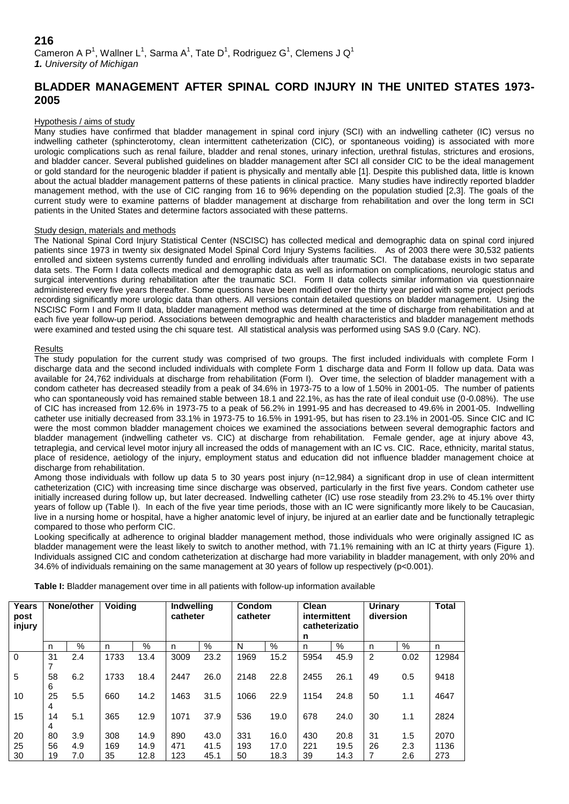# **BLADDER MANAGEMENT AFTER SPINAL CORD INJURY IN THE UNITED STATES 1973- 2005**

## Hypothesis / aims of study

Many studies have confirmed that bladder management in spinal cord injury (SCI) with an indwelling catheter (IC) versus no indwelling catheter (sphincterotomy, clean intermittent catheterization (CIC), or spontaneous voiding) is associated with more urologic complications such as renal failure, bladder and renal stones, urinary infection, urethral fistulas, strictures and erosions, and bladder cancer. Several published guidelines on bladder management after SCI all consider CIC to be the ideal management or gold standard for the neurogenic bladder if patient is physically and mentally able [1]. Despite this published data, little is known about the actual bladder management patterns of these patients in clinical practice. Many studies have indirectly reported bladder management method, with the use of CIC ranging from 16 to 96% depending on the population studied [2,3]. The goals of the current study were to examine patterns of bladder management at discharge from rehabilitation and over the long term in SCI patients in the United States and determine factors associated with these patterns.

## Study design, materials and methods

The National Spinal Cord Injury Statistical Center (NSCISC) has collected medical and demographic data on spinal cord injured patients since 1973 in twenty six designated Model Spinal Cord Injury Systems facilities. As of 2003 there were 30,532 patients enrolled and sixteen systems currently funded and enrolling individuals after traumatic SCI. The database exists in two separate data sets. The Form I data collects medical and demographic data as well as information on complications, neurologic status and surgical interventions during rehabilitation after the traumatic SCI. Form II data collects similar information via questionnaire administered every five years thereafter. Some questions have been modified over the thirty year period with some project periods recording significantly more urologic data than others. All versions contain detailed questions on bladder management. Using the NSCISC Form I and Form II data, bladder management method was determined at the time of discharge from rehabilitation and at each five year follow-up period. Associations between demographic and health characteristics and bladder management methods were examined and tested using the chi square test. All statistical analysis was performed using SAS 9.0 (Cary. NC).

## **Results**

The study population for the current study was comprised of two groups. The first included individuals with complete Form I discharge data and the second included individuals with complete Form 1 discharge data and Form II follow up data. Data was available for 24,762 individuals at discharge from rehabilitation (Form I). Over time, the selection of bladder management with a condom catheter has decreased steadily from a peak of 34.6% in 1973-75 to a low of 1.50% in 2001-05. The number of patients who can spontaneously void has remained stable between 18.1 and 22.1%, as has the rate of ileal conduit use (0-0.08%). The use of CIC has increased from 12.6% in 1973-75 to a peak of 56.2% in 1991-95 and has decreased to 49.6% in 2001-05. Indwelling catheter use initially decreased from 33.1% in 1973-75 to 16.5% in 1991-95, but has risen to 23.1% in 2001-05. Since CIC and IC were the most common bladder management choices we examined the associations between several demographic factors and bladder management (indwelling catheter vs. CIC) at discharge from rehabilitation. Female gender, age at injury above 43, tetraplegia, and cervical level motor injury all increased the odds of management with an IC vs. CIC. Race, ethnicity, marital status, place of residence, aetiology of the injury, employment status and education did not influence bladder management choice at discharge from rehabilitation.

Among those individuals with follow up data 5 to 30 years post injury (n=12,984) a significant drop in use of clean intermittent catheterization (CIC) with increasing time since discharge was observed, particularly in the first five years. Condom catheter use initially increased during follow up, but later decreased. Indwelling catheter (IC) use rose steadily from 23.2% to 45.1% over thirty years of follow up (Table I). In each of the five year time periods, those with an IC were significantly more likely to be Caucasian, live in a nursing home or hospital, have a higher anatomic level of injury, be injured at an earlier date and be functionally tetraplegic compared to those who perform CIC.

Looking specifically at adherence to original bladder management method, those individuals who were originally assigned IC as bladder management were the least likely to switch to another method, with 71.1% remaining with an IC at thirty years (Figure 1). Individuals assigned CIC and condom catheterization at discharge had more variability in bladder management, with only 20% and 34.6% of individuals remaining on the same management at 30 years of follow up respectively (p<0.001).

| Years<br>post<br>injury | None/other |     | Voiding |      | Indwelling<br>catheter |      | Condom<br>catheter |      | <b>Clean</b><br>intermittent<br>catheterizatio<br>n |      | <b>Urinary</b><br>diversion |      | <b>Total</b> |
|-------------------------|------------|-----|---------|------|------------------------|------|--------------------|------|-----------------------------------------------------|------|-----------------------------|------|--------------|
|                         | n          | %   | n       | %    | n                      | $\%$ | N                  | %    | n                                                   | $\%$ | n                           | %    | n            |
| $\mathbf 0$             | 31         | 2.4 | 1733    | 13.4 | 3009                   | 23.2 | 1969               | 15.2 | 5954                                                | 45.9 | 2                           | 0.02 | 12984        |
| 5                       | 58<br>6    | 6.2 | 1733    | 18.4 | 2447                   | 26.0 | 2148               | 22.8 | 2455                                                | 26.1 | 49                          | 0.5  | 9418         |
| 10                      | 25<br>4    | 5.5 | 660     | 14.2 | 1463                   | 31.5 | 1066               | 22.9 | 1154                                                | 24.8 | 50                          | 1.1  | 4647         |
| 15                      | 14<br>4    | 5.1 | 365     | 12.9 | 1071                   | 37.9 | 536                | 19.0 | 678                                                 | 24.0 | 30                          | 1.1  | 2824         |
| 20                      | 80         | 3.9 | 308     | 14.9 | 890                    | 43.0 | 331                | 16.0 | 430                                                 | 20.8 | 31                          | 1.5  | 2070         |
| 25                      | 56         | 4.9 | 169     | 14.9 | 471                    | 41.5 | 193                | 17.0 | 221                                                 | 19.5 | 26                          | 2.3  | 1136         |
| 30                      | 19         | 7.0 | 35      | 12.8 | 123                    | 45.1 | 50                 | 18.3 | 39                                                  | 14.3 | 7                           | 2.6  | 273          |

**Table I:** Bladder management over time in all patients with follow-up information available